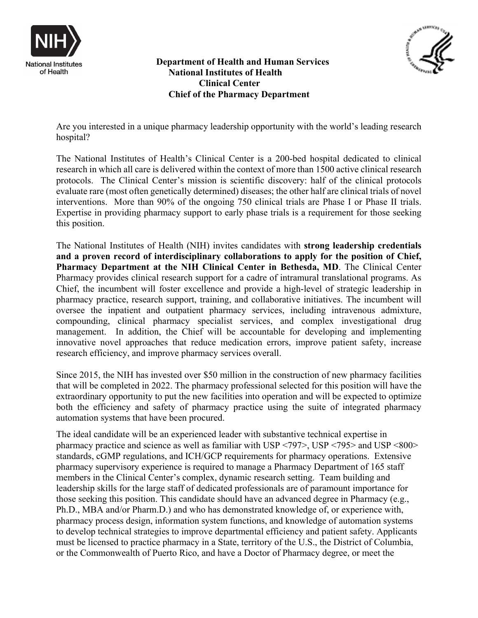



 **Department of Health and Human Services National Institutes of Health Clinical Center Chief of the Pharmacy Department**

Are you interested in a unique pharmacy leadership opportunity with the world's leading research hospital?

The National Institutes of Health's Clinical Center is a 200-bed hospital dedicated to clinical research in which all care is delivered within the context of more than 1500 active clinical research protocols. The Clinical Center's mission is scientific discovery: half of the clinical protocols evaluate rare (most often genetically determined) diseases; the other half are clinical trials of novel interventions. More than 90% of the ongoing 750 clinical trials are Phase I or Phase II trials. Expertise in providing pharmacy support to early phase trials is a requirement for those seeking this position.

The National Institutes of Health (NIH) invites candidates with **strong leadership credentials and a proven record of interdisciplinary collaborations to apply for the position of Chief, Pharmacy Department at the NIH Clinical Center in Bethesda, MD**. The Clinical Center Pharmacy provides clinical research support for a cadre of intramural translational programs. As Chief, the incumbent will foster excellence and provide a high-level of strategic leadership in pharmacy practice, research support, training, and collaborative initiatives. The incumbent will oversee the inpatient and outpatient pharmacy services, including intravenous admixture, compounding, clinical pharmacy specialist services, and complex investigational drug management. In addition, the Chief will be accountable for developing and implementing innovative novel approaches that reduce medication errors, improve patient safety, increase research efficiency, and improve pharmacy services overall.

Since 2015, the NIH has invested over \$50 million in the construction of new pharmacy facilities that will be completed in 2022. The pharmacy professional selected for this position will have the extraordinary opportunity to put the new facilities into operation and will be expected to optimize both the efficiency and safety of pharmacy practice using the suite of integrated pharmacy automation systems that have been procured.

The ideal candidate will be an experienced leader with substantive technical expertise in pharmacy practice and science as well as familiar with USP <797>, USP <795> and USP <800> standards, cGMP regulations, and ICH/GCP requirements for pharmacy operations. Extensive pharmacy supervisory experience is required to manage a Pharmacy Department of 165 staff members in the Clinical Center's complex, dynamic research setting. Team building and leadership skills for the large staff of dedicated professionals are of paramount importance for those seeking this position. This candidate should have an advanced degree in Pharmacy (e.g., Ph.D., MBA and/or Pharm.D.) and who has demonstrated knowledge of, or experience with, pharmacy process design, information system functions, and knowledge of automation systems to develop technical strategies to improve departmental efficiency and patient safety. Applicants must be licensed to practice pharmacy in a State, territory of the U.S., the District of Columbia, or the Commonwealth of Puerto Rico, and have a Doctor of Pharmacy degree, or meet the